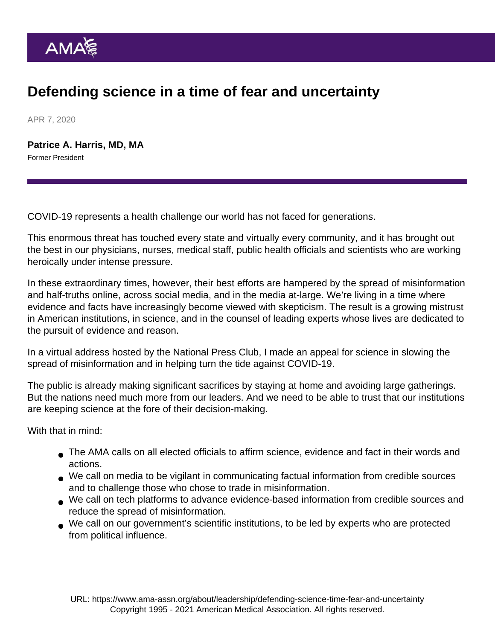## Defending science in a time of fear and uncertainty

APR 7, 2020

[Patrice A. Harris, MD, MA](https://www.ama-assn.org/news-leadership-viewpoints/authors-news-leadership-viewpoints/patrice-harris-md-ma) Former President

COVID-19 represents a health challenge our world has not faced for generations.

This enormous threat has touched every state and virtually every community, and it has brought out the best in our physicians, nurses, medical staff, public health officials and scientists who are working heroically under intense pressure.

In these extraordinary times, however, their best efforts are hampered by the spread of misinformation and half-truths online, across social media, and in the media at-large. We're living in a time where evidence and facts have increasingly become viewed with skepticism. The result is a growing mistrust in American institutions, in science, and in the counsel of leading experts whose lives are dedicated to the pursuit of evidence and reason.

In a [virtual address](https://www.ama-assn.org/press-center/press-videos/covid-19-importance-science-era-distrust-and-misinformation) hosted by the National Press Club, I made an appeal for science in slowing the spread of misinformation and in helping turn the tide against COVID-19.

The public is already making significant sacrifices by staying at home and avoiding large gatherings. But the nations need much more from our leaders. And we need to be able to trust that our institutions are keeping science at the fore of their decision-making.

With that in mind:

- The AMA calls on all elected officials to affirm science, evidence and fact in their words and actions.
- We call on media to be vigilant in communicating factual information from credible sources and to challenge those who chose to trade in misinformation.
- We call on tech platforms to advance evidence-based information from credible sources and reduce the spread of misinformation.
- We call on our government's scientific institutions, to be led by experts who are protected from political influence.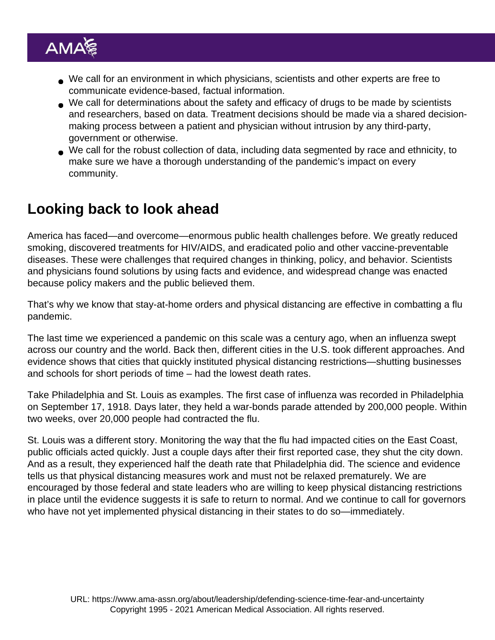- We call for an environment in which physicians, scientists and other experts are free to communicate evidence-based, factual information.
- We call for determinations about the safety and efficacy of drugs to be made by scientists and researchers, based on data. Treatment decisions should be made via a shared decisionmaking process between a patient and physician without intrusion by any third-party, government or otherwise.
- We call for the robust collection of data, including data segmented by race and ethnicity, to make sure we have a thorough understanding of the pandemic's impact on every community.

## Looking back to look ahead

America has faced—and overcome—enormous public health challenges before. We greatly reduced smoking, discovered treatments for HIV/AIDS, and eradicated polio and other vaccine-preventable diseases. These were challenges that required changes in thinking, policy, and behavior. Scientists and physicians found solutions by using facts and evidence, and widespread change was enacted because policy makers and the public believed them.

That's why we know that stay-at-home orders and physical distancing are effective in combatting a flu pandemic.

The last time we experienced a pandemic on this scale was a century ago, when an influenza swept across our country and the world. Back then, different cities in the U.S. took different approaches. And evidence shows that cities that quickly instituted physical distancing restrictions—shutting businesses and schools for short periods of time – had the lowest death rates.

Take Philadelphia and St. Louis as examples. The first case of influenza was recorded in Philadelphia on September 17, 1918. Days later, they held a war-bonds parade attended by 200,000 people. Within two weeks, over 20,000 people had contracted the flu.

St. Louis was a different story. Monitoring the way that the flu had impacted cities on the East Coast, public officials acted quickly. Just a couple days after their first reported case, they shut the city down. And as a result, they experienced half the death rate that Philadelphia did. The science and evidence tells us that physical distancing measures work and must not be relaxed prematurely. We are encouraged by those federal and state leaders who are willing to keep physical distancing restrictions in place until the evidence suggests it is safe to return to normal. And we continue to call for governors who have not yet implemented physical distancing in their states to do so—immediately.